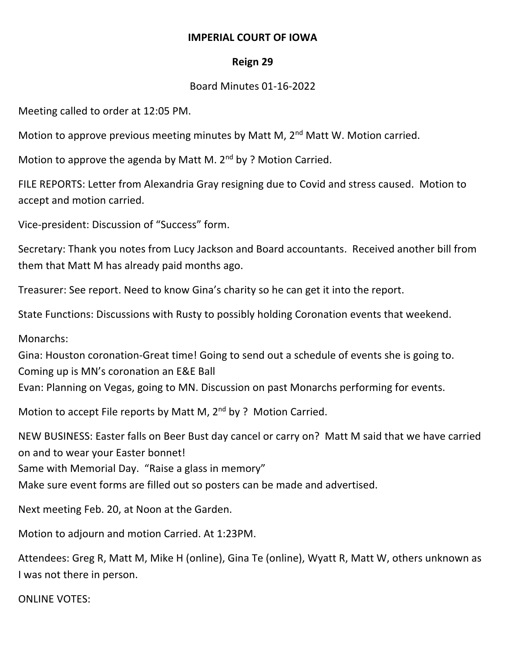## **IMPERIAL COURT OF IOWA**

## **Reign 29**

## Board Minutes 01-16-2022

Meeting called to order at 12:05 PM.

Motion to approve previous meeting minutes by Matt M,  $2<sup>nd</sup>$  Matt W. Motion carried.

Motion to approve the agenda by Matt M. 2<sup>nd</sup> by ? Motion Carried.

FILE REPORTS: Letter from Alexandria Gray resigning due to Covid and stress caused. Motion to accept and motion carried.

Vice-president: Discussion of "Success" form.

Secretary: Thank you notes from Lucy Jackson and Board accountants. Received another bill from them that Matt M has already paid months ago.

Treasurer: See report. Need to know Gina's charity so he can get it into the report.

State Functions: Discussions with Rusty to possibly holding Coronation events that weekend.

Monarchs:

Gina: Houston coronation-Great time! Going to send out a schedule of events she is going to. Coming up is MN's coronation an E&E Ball Evan: Planning on Vegas, going to MN. Discussion on past Monarchs performing for events.

Motion to accept File reports by Matt M, 2<sup>nd</sup> by ? Motion Carried.

NEW BUSINESS: Easter falls on Beer Bust day cancel or carry on? Matt M said that we have carried on and to wear your Easter bonnet! Same with Memorial Day. "Raise a glass in memory"

Make sure event forms are filled out so posters can be made and advertised.

Next meeting Feb. 20, at Noon at the Garden.

Motion to adjourn and motion Carried. At 1:23PM.

Attendees: Greg R, Matt M, Mike H (online), Gina Te (online), Wyatt R, Matt W, others unknown as I was not there in person.

ONLINE VOTES: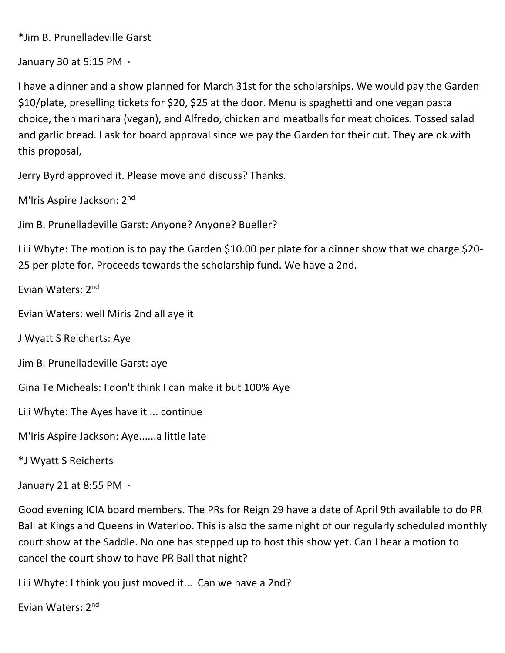\*Jim B. Prunelladeville Garst

January 30 at 5:15 PM ·

I have a dinner and a show planned for March 31st for the scholarships. We would pay the Garden \$10/plate, preselling tickets for \$20, \$25 at the door. Menu is spaghetti and one vegan pasta choice, then marinara (vegan), and Alfredo, chicken and meatballs for meat choices. Tossed salad and garlic bread. I ask for board approval since we pay the Garden for their cut. They are ok with this proposal,

Jerry Byrd approved it. Please move and discuss? Thanks.

M'Iris Aspire Jackson: 2nd

Jim B. Prunelladeville Garst: Anyone? Anyone? Bueller?

Lili Whyte: The motion is to pay the Garden \$10.00 per plate for a dinner show that we charge \$20-25 per plate for. Proceeds towards the scholarship fund. We have a 2nd.

Evian Waters: 2nd

Evian Waters: well Miris 2nd all aye it

J Wyatt S Reicherts: Aye

Jim B. Prunelladeville Garst: aye

Gina Te Micheals: I don't think I can make it but 100% Aye

Lili Whyte: The Ayes have it ... continue

M'Iris Aspire Jackson: Aye......a little late

\*J Wyatt S Reicherts

January 21 at 8:55 PM ·

Good evening ICIA board members. The PRs for Reign 29 have a date of April 9th available to do PR Ball at Kings and Queens in Waterloo. This is also the same night of our regularly scheduled monthly court show at the Saddle. No one has stepped up to host this show yet. Can I hear a motion to cancel the court show to have PR Ball that night?

Lili Whyte: I think you just moved it... Can we have a 2nd?

Evian Waters: 2nd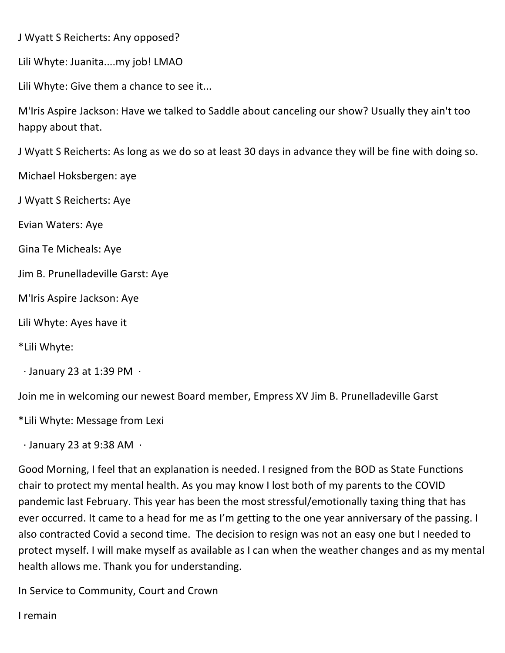J Wyatt S Reicherts: Any opposed?

Lili Whyte: Juanita....my job! LMAO

Lili Whyte: Give them a chance to see it...

M'Iris Aspire Jackson: Have we talked to Saddle about canceling our show? Usually they ain't too happy about that.

J Wyatt S Reicherts: As long as we do so at least 30 days in advance they will be fine with doing so.

Michael Hoksbergen: aye

J Wyatt S Reicherts: Aye

Evian Waters: Aye

Gina Te Micheals: Aye

Jim B. Prunelladeville Garst: Aye

M'Iris Aspire Jackson: Aye

Lili Whyte: Ayes have it

\*Lili Whyte:

 $\cdot$  January 23 at 1:39 PM  $\cdot$ 

Join me in welcoming our newest Board member, Empress XV Jim B. Prunelladeville Garst

\*Lili Whyte: Message from Lexi

· January 23 at 9:38 AM ·

Good Morning, I feel that an explanation is needed. I resigned from the BOD as State Functions chair to protect my mental health. As you may know I lost both of my parents to the COVID pandemic last February. This year has been the most stressful/emotionally taxing thing that has ever occurred. It came to a head for me as I'm getting to the one year anniversary of the passing. I also contracted Covid a second time. The decision to resign was not an easy one but I needed to protect myself. I will make myself as available as I can when the weather changes and as my mental health allows me. Thank you for understanding.

In Service to Community, Court and Crown

I remain